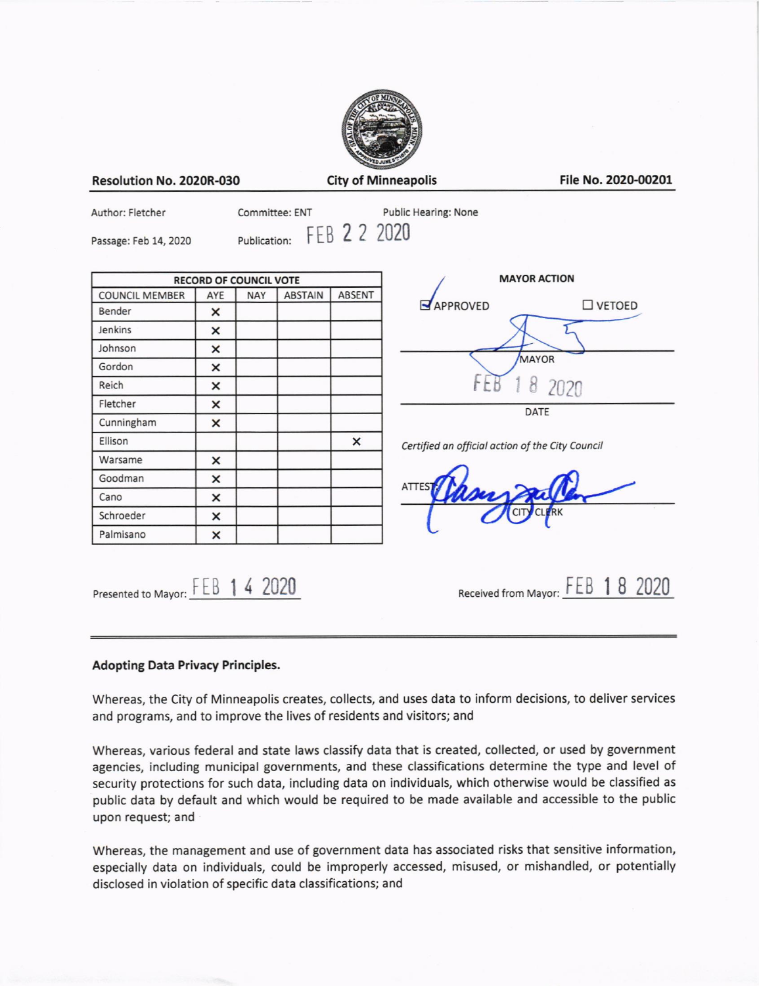

Resolution No. 2020R-030

City of Minneapolis File No. 2020-00201

Author: Fletcher

Committee: ENT

Public Hearing: None

Passage: Feb 14, 2020

Publication FEB 2 2 2020

| <b>RECORD OF COUNCIL VOTE</b> |     |            |                |               |
|-------------------------------|-----|------------|----------------|---------------|
| <b>COUNCIL MEMBER</b>         | AYE | <b>NAY</b> | <b>ABSTAIN</b> | <b>ABSENT</b> |
| Bender                        | ×   |            |                |               |
| Jenkins                       | ×   |            |                |               |
| Johnson                       | ×   |            |                |               |
| Gordon                        | ×   |            |                |               |
| Reich                         | ×   |            |                |               |
| Fletcher                      | ×   |            |                |               |
| Cunningham                    | ×   |            |                |               |
| Ellison                       |     |            |                | ×             |
| Warsame                       | ×   |            |                |               |
| Goodman                       | ×   |            |                |               |
| Cano                          | ×   |            |                |               |
| Schroeder                     | ×   |            |                |               |
| Palmisano                     | ×   |            |                |               |



Certified an official action of the City Council

ATT

Presented to Mayor:  $FEB$  1 4 2020

Received from Mayor: FEB 18 2020

# Adopting Data Privacy Principles.

Whereas, the City of Minneapolis creates, collects, and uses data to inform decisions, to deliver services and programs, and to improve the lives of residents and visitors; and

Whereas, various federal and state laws classify data that is created, collected, or used by government agencies, including municipal governments, and these classifications determine the type and level of security protections for such data, including data on individuals, which otherwise would be classified as public data by default and which would be required to be made available and accessible to the public upon request; and

whereas, the management and use of government data has associated risks that sensitive information, especially data on individuals, could be improperly accessed, misused, or mishandled, or potentially disclosed in violation of specific data classifications; and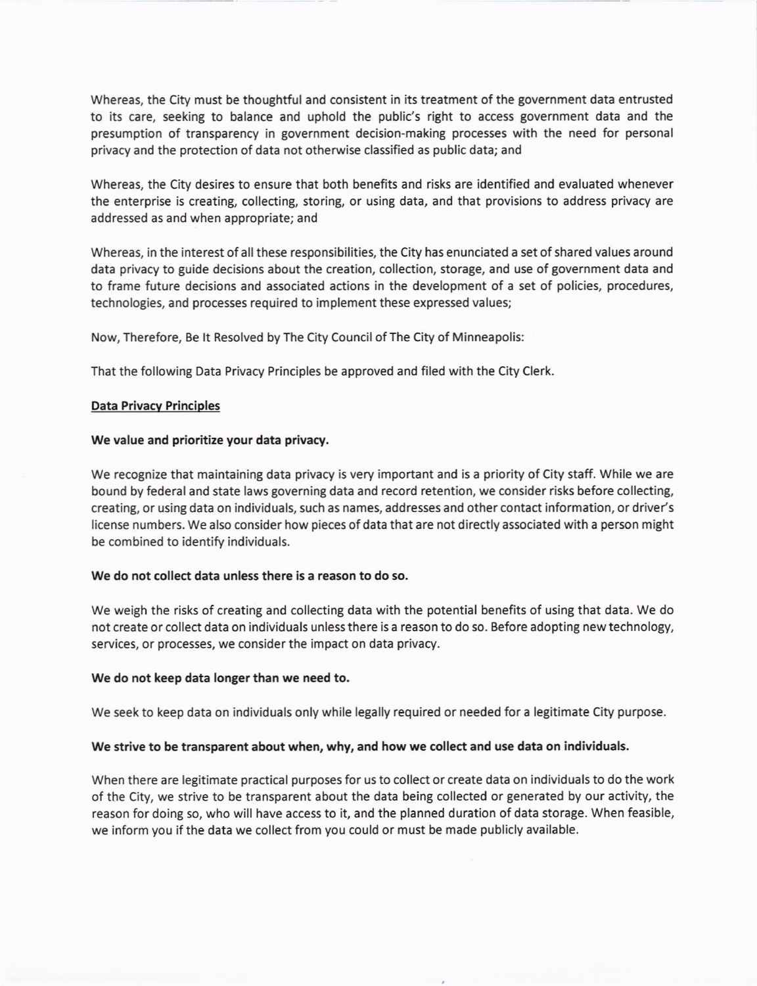Whereas, the City must be thoughtful and consistent in its treatment of the government data entrusted to its care, seeking to balance and uphold the public's right to access government data and the presumption of transparency in government decision-making processes with the need for personal privacy and the protection of data not otherwise classified as public data; and

Whereas, the City desires to ensure that both benefits and risks are identified and evaluated whenever the enterprise is creating, collecting, storing, or using data, and that provisions to address privacy are addressed as and when appropriate; and

Whereas, in the interest of all these responsibilities, the City has enunciated a set of shared values around data privacy to guide decisions about the creation, collection, storage, and use of government data and to frame future decisions and associated actions in the development of a set of policies, procedures, technologies, and processes required to implement these expressed values;

Now, Therefore, Be lt Resolved by The City Council of The city of Minneapolis:

That the following Data Privacy Principles be approved and filed wlth the City Clerk.

# Data Privacv Principles

### We value and prioritize your data privacy.

We recognize that maintaining data privacy is very important and is a priority of City staff. While we are bound by federal and state laws governing data and record retention, we consider risks before collecting, creating, or using data on individuals, such as names, addresses and other contact information, or driver's license numbers. We also consider how pieces of data that are not directly associated with a person might be combined to identify individuals.

### we do not collect data unless there is a reason to do so.

We weigh the risks of creating and collecting data with the potential benefits of using that data. We do not create or collect data on individuals unless there is a reason to do so. Before adopting new technology, services, or processes, we consider the impact on data privacy.

### We do not keep data longer than we need to.

We seek to keep data on individuals only while legally required or needed for a legitimate City purpose.

#### we strive to be transparent about when, why, and how we collect and use data on individuals.

When there are legitimate practical purposes for us to collect or create data on individuals to do the work of the city, we strive to be transparent about the data being collected or generated by our activity, the reason for doing so, who will have access to it, and the planned duration of data storage. When feasible, we inform you if the data we collect from you could or must be made publicly available.